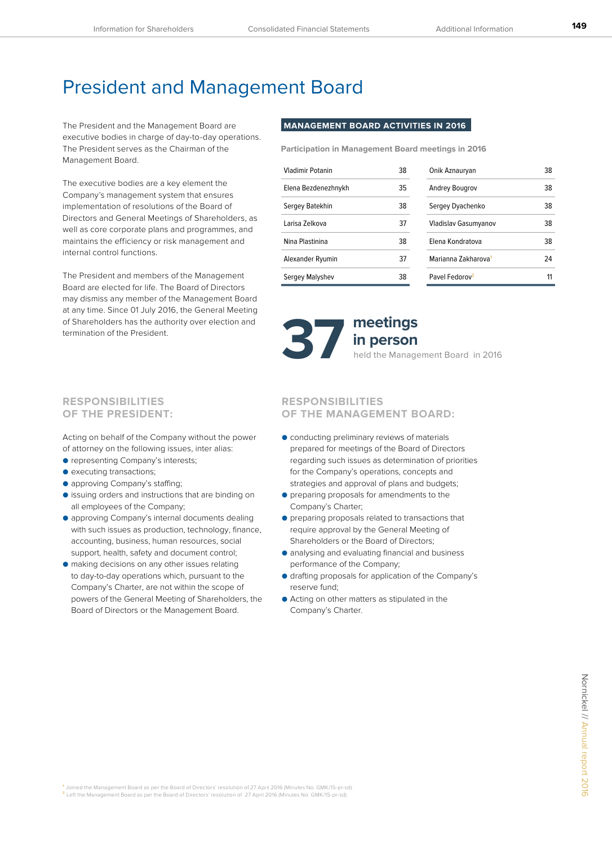**149**

## President and Management Board

The President and the Management Board are executive bodies in charge of day-to-day operations. The President serves as the Chairman of the Management Board.

The executive bodies are a key element the Company's management system that ensures implementation of resolutions of the Board of Directors and General Meetings of Shareholders, as well as core corporate plans and programmes, and maintains the efficiency or risk management and internal control functions.

The President and members of the Management Board are elected for life. The Board of Directors may dismiss any member of the Management Board at any time. Since 01 July 2016, the General Meeting of Shareholders has the authority over election and termination of the President.

## **MANAGEMENT BOARD ACTIVITIES IN 2016**

**Participation in Management Board meetings in 2016**

| Vladimir Potanin    | 38 | Onik Aznauryan                  | 38 |
|---------------------|----|---------------------------------|----|
| Elena Bezdenezhnykh | 35 | <b>Andrey Bougrov</b>           | 38 |
| Sergey Batekhin     | 38 | Sergey Dyachenko                | 38 |
| Larisa Zelkova      | 37 | Vladislav Gasumyanov            | 38 |
| Nina Plastinina     | 38 | Elena Kondratova                | 38 |
| Alexander Ryumin    | 37 | Marianna Zakharova <sup>1</sup> | 24 |
| Sergey Malyshev     | 38 | Pavel Fedorov <sup>2</sup>      | 11 |



# **in person**

## **RESPONSIBILITIES OF THE PRESIDENT:**

Acting on behalf of the Company without the power of attorney on the following issues, inter alias:

- representing Company's interests;
- executing transactions;
- approving Company's staffing;
- issuing orders and instructions that are binding on all employees of the Company;
- approving Company's internal documents dealing with such issues as production, technology, finance, accounting, business, human resources, social support, health, safety and document control;
- making decisions on any other issues relating to day-to-day operations which, pursuant to the Company's Charter, are not within the scope of powers of the General Meeting of Shareholders, the Board of Directors or the Management Board.

## **RESPONSIBILITIES OF THE MANAGEMENT BOARD:**

- conducting preliminary reviews of materials prepared for meetings of the Board of Directors regarding such issues as determination of priorities for the Company's operations, concepts and strategies and approval of plans and budgets;
- preparing proposals for amendments to the Company's Charter;
- preparing proposals related to transactions that require approval by the General Meeting of Shareholders or the Board of Directors;
- analysing and evaluating financial and business performance of the Company;
- drafting proposals for application of the Company's reserve fund;
- Acting on other matters as stipulated in the Company's Charter.

**<sup>1</sup>**Joined the Management Board as per the Board of Directors' resolution of 27 April 2016 (Minutes No. GMK/15-pr-sd). **<sup>2</sup>**Left the Management Board as per the Board of Directors' resolution of 27 April 2016 (Minutes No. GMK/15-pr-sd).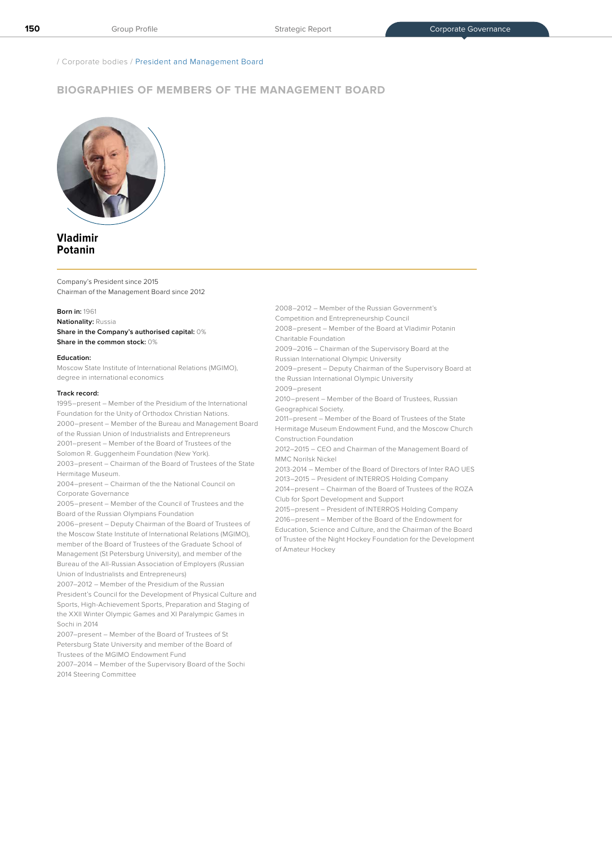/ Corporate bodies / President and Management Board

## **BIOGRAPHIES OF MEMBERS OF THE MANAGEMENT BOARD**



## **Vladimir Potanin**

Company's President since 2015 Chairman of the Management Board since 2012

**Born in:** 1961

**Nationality:** Russia **Share in the Company's authorised capital:** 0% **Share in the common stock:** 0%

#### **Education:**

Moscow State Institute of International Relations (MGIMO), degree in international economics

#### **Track record:**

1995–present – Member of the Presidium of the International Foundation for the Unity of Orthodox Christian Nations. 2000–present – Member of the Bureau and Management Board of the Russian Union of Industrialists and Entrepreneurs 2001–present – Member of the Board of Trustees of the Solomon R. Guggenheim Foundation (New York). 2003–present – Chairman of the Board of Trustees of the State Hermitage Museum.

2004–present – Chairman of the the National Council on Corporate Governance

2005–present – Member of the Council of Trustees and the Board of the Russian Olympians Foundation

2006–present – Deputy Chairman of the Board of Trustees of the Moscow State Institute of International Relations (MGIMO), member of the Board of Trustees of the Graduate School of Management (St Petersburg University), and member of the Bureau of the All-Russian Association of Employers (Russian Union of Industrialists and Entrepreneurs)

2007–2012 – Member of the Presidium of the Russian President's Council for the Development of Physical Culture and Sports, High-Achievement Sports, Preparation and Staging of the XXII Winter Olympic Games and XI Paralympic Games in Sochi in 2014

2007–present – Member of the Board of Trustees of St Petersburg State University and member of the Board of Trustees of the MGIMO Endowment Fund

2007–2014 – Member of the Supervisory Board of the Sochi 2014 Steering Committee

2008–2012 – Member of the Russian Government's

Competition and Entrepreneurship Council

2008–present – Member of the Board at Vladimir Potanin Charitable Foundation

2009–2016 – Chairman of the Supervisory Board at the

Russian International Olympic University

2009–present – Deputy Chairman of the Supervisory Board at the Russian International Olympic University

2009–present 2010–present – Member of the Board of Trustees, Russian

Geographical Society. 2011–present – Member of the Board of Trustees of the State

Hermitage Museum Endowment Fund, and the Moscow Church Construction Foundation

2012–2015 – CEO and Chairman of the Management Board of MMC Norilsk Nickel

2013-2014 – Member of the Board of Directors of Inter RAO UES 2013–2015 – President of INTERROS Holding Company

2014–present – Chairman of the Board of Trustees of the ROZA Club for Sport Development and Support

2015–present – President of INTERROS Holding Company 2016–present – Member of the Board of the Endowment for

Education, Science and Culture, and the Chairman of the Board of Trustee of the Night Hockey Foundation for the Development of Amateur Hockey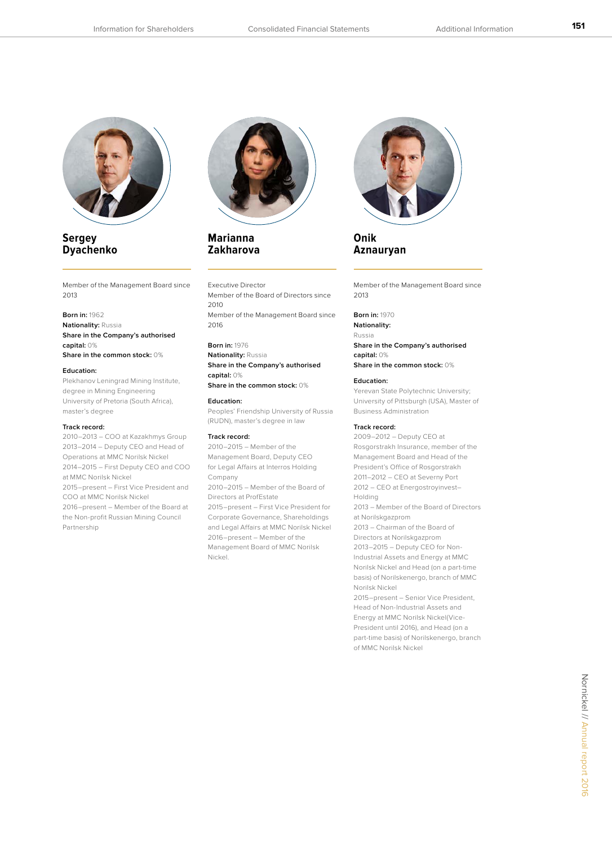

## **Sergey Dyachenko**

Member of the Management Board since 2013

## **Born in:** 1962

**Nationality:** Russia **Share in the Company's authorised capital:** 0% **Share in the common stock:** 0%

#### **Education:**

Plekhanov Leningrad Mining Institute, degree in Mining Engineering University of Pretoria (South Africa), master's degree

#### **Track record:**

2010–2013 – COO at Kazakhmys Group 2013–2014 – Deputy CEO and Head of Operations at MMC Norilsk Nickel 2014–2015 – First Deputy CEO and COO at MMC Norilsk Nickel 2015–present – First Vice President and COO at MMC Norilsk Nickel 2016–present – Member of the Board at the Non-profit Russian Mining Council Partnership



## **Marianna Zakharova**

#### Executive Director

Member of the Board of Directors since 2010 Member of the Management Board since 2016

#### **Born in:** 1976

**Nationality:** Russia **Share in the Company's authorised capital:** 0%

**Share in the common stock:** 0%

Peoples' Friendship University of Russia (RUDN), master's degree in law

#### **Track record:**

**Education:** 

2010–2015 – Member of the Management Board, Deputy CEO for Legal Affairs at Interros Holding Company 2010–2015 – Member of the Board of Directors at ProfEstate 2015–present – First Vice President for Corporate Governance, Shareholdings and Legal Affairs at MMC Norilsk Nickel 2016–present – Member of the Management Board of MMC Norilsk Nickel.



**Onik Aznauryan** 

Member of the Management Board since 2013

**Born in:** 1970 **Nationality:**

Russia **Share in the Company's authorised capital:** 0% **Share in the common stock:** 0%

#### **Education:**

Yerevan State Polytechnic University; University of Pittsburgh (USA), Master of Business Administration

#### **Track record:**

2009–2012 – Deputy CEO at Rosgorstrakh Insurance, member of the Management Board and Head of the President's Office of Rosgorstrakh 2011–2012 – CEO at Severny Port 2012 – CEO at Energostroyinvest– Holding 2013 – Member of the Board of Directors at Norilskgazprom 2013 – Chairman of the Board of Directors at Norilskgazprom 2013–2015 – Deputy CEO for Non-Industrial Assets and Energy at MMC Norilsk Nickel and Head (on a part-time basis) of Norilskenergo, branch of MMC Norilsk Nickel 2015–present – Senior Vice President, Head of Non-Industrial Assets and Energy at MMC Norilsk Nickel(Vice-President until 2016), and Head (on a part-time basis) of Norilskenergo, branch of MMC Norilsk Nickel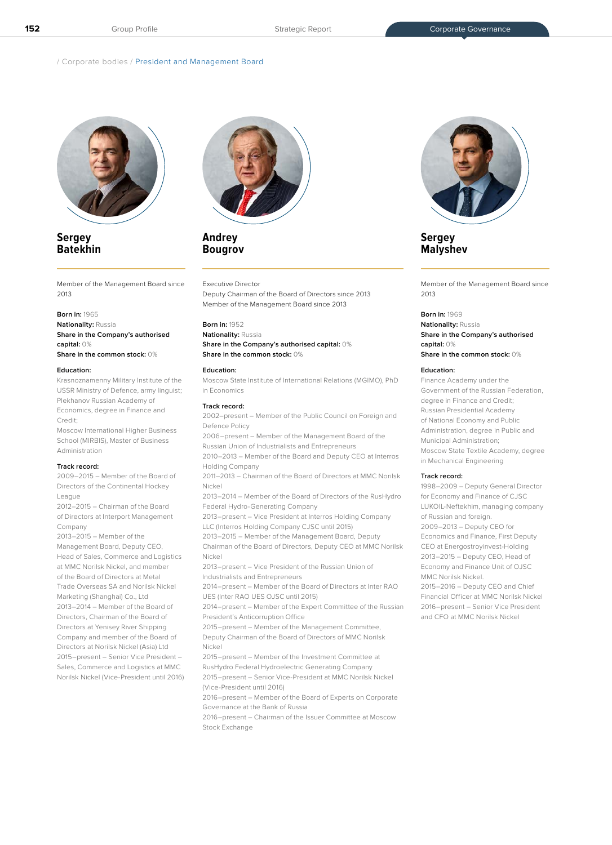/ Corporate bodies / President and Management Board



## **Sergey Batekhin**

Member of the Management Board since  $2013$ 

#### **Born in:** 1965

**Nationality:** Russia **Share in the Company's authorised capital:** 0%

**Share in the common stock:** 0%

#### **Education:**

Krasnoznamenny Military Institute of the USSR Ministry of Defence, army linguist; Plekhanov Russian Academy of Economics, degree in Finance and Credit;

Moscow International Higher Business School (MIRBIS), Master of Business Administration

#### **Track record:**

2009–2015 – Member of the Board of Directors of the Continental Hockey League

2012–2015 – Chairman of the Board of Directors at Interport Management Company

2013–2015 – Member of the Management Board, Deputy CEO, Head of Sales, Commerce and Logistics at MMC Norilsk Nickel, and member of the Board of Directors at Metal Trade Overseas SA and Norilsk Nickel Marketing (Shanghai) Co., Ltd 2013–2014 – Member of the Board of Directors, Chairman of the Board of Directors at Yenisey River Shipping Company and member of the Board of Directors at Norilsk Nickel (Asia) Ltd 2015–present – Senior Vice President – Sales, Commerce and Logistics at MMC Norilsk Nickel (Vice-President until 2016)



## **Andrey Bougrov**

#### Executive Director

Deputy Chairman of the Board of Directors since 2013 Member of the Management Board since 2013

#### **Born in:** 1952

#### **Nationality:** Russia **Share in the Company's authorised capital:** 0% **Share in the common stock:** 0%

### **Education:**

Moscow State Institute of International Relations (MGIMO), PhD in Economics

#### **Track record:**

2002–present – Member of the Public Council on Foreign and Defence Policy

2006–present – Member of the Management Board of the Russian Union of Industrialists and Entrepreneurs

2010–2013 – Member of the Board and Deputy CEO at Interros Holding Company

2011–2013 – Chairman of the Board of Directors at MMC Norilsk Nickel

2013–2014 – Member of the Board of Directors of the RusHydro Federal Hydro-Generating Company

2013–present – Vice President at Interros Holding Company LLC (Interros Holding Company CJSC until 2015)

2013–2015 – Member of the Management Board, Deputy

Chairman of the Board of Directors, Deputy CEO at MMC Norilsk Nickel

2013–present – Vice President of the Russian Union of Industrialists and Entrepreneurs

2014–present – Member of the Board of Directors at Inter RAO UES (Inter RAO UES OJSC until 2015)

2014–present – Member of the Expert Committee of the Russian President's Anticorruption Office

2015–present – Member of the Management Committee, Deputy Chairman of the Board of Directors of MMC Norilsk

Nickel

2015–present – Member of the Investment Committee at RusHydro Federal Hydroelectric Generating Company

2015–present – Senior Vice-President at MMC Norilsk Nickel

(Vice-President until 2016) 2016–present – Member of the Board of Experts on Corporate

Governance at the Bank of Russia 2016–present – Chairman of the Issuer Committee at Moscow

Stock Exchange



**Sergey Malyshev** 

Member of the Management Board since 2013

#### **Born in:** 1969

**Nationality:** Russia **Share in the Company's authorised capital:** 0% **Share in the common stock:** 0%

#### **Education:**

Finance Academy under the Government of the Russian Federation, degree in Finance and Credit; Russian Presidential Academy of National Economy and Public Administration, degree in Public and Municipal Administration; Moscow State Textile Academy, degree in Mechanical Engineering

#### **Track record:**

1998–2009 – Deputy General Director for Economy and Finance of CJSC LUKOIL-Neftekhim, managing company of Russian and foreign. 2009–2013 – Deputy CEO for Economics and Finance, First Deputy CEO at Energostroyinvest-Holding 2013–2015 – Deputy CEO, Head of Economy and Finance Unit of OJSC MMC Norilsk Nickel.

2015–2016 – Deputy CEO and Chief Financial Officer at MMC Norilsk Nickel 2016–present – Senior Vice President and CFO at MMC Norilsk Nickel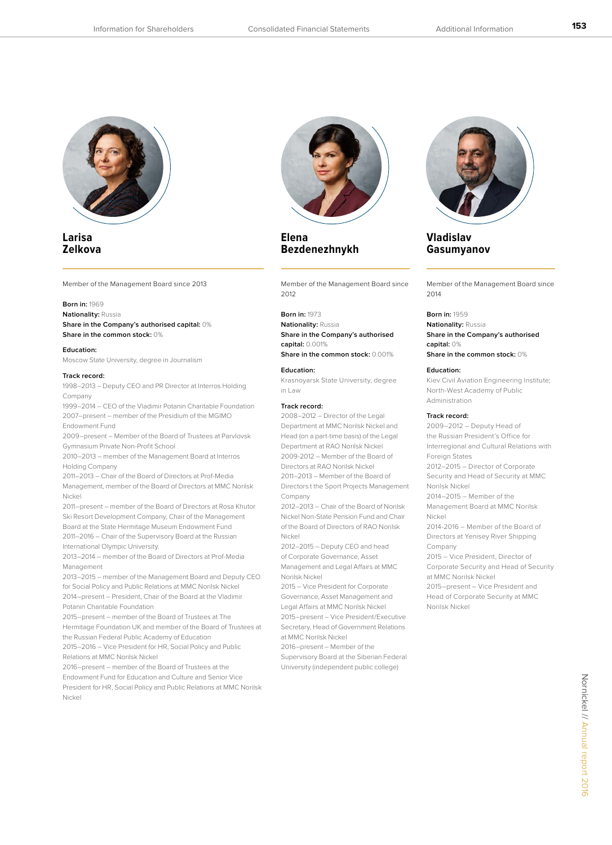

## **Larisa Zelkova**

Member of the Management Board since 2013

#### **Born in:** 1969

**Nationality:** Russia **Share in the Company's authorised capital:** 0% **Share in the common stock:** 0%

#### **Education:**

Moscow State University, degree in Journalism

#### **Track record:**

1998–2013 – Deputy CEO and PR Director at Interros Holding Company

1999–2014 – CEO of the Vladimir Potanin Charitable Foundation 2007–present – member of the Presidium of the MGIMO Endowment Fund

2009–present – Member of the Board of Trustees at Parvlovsk Gymnasium Private Non-Profit School

2010–2013 – member of the Management Board at Interros Holding Company

2011–2013 – Chair of the Board of Directors at Prof-Media Management, member of the Board of Directors at MMC Norilsk Nickel

2011–present – member of the Board of Directors at Rosa Khutor Ski Resort Development Company, Chair of the Management Board at the State Hermitage Museum Endowment Fund 2011–2016 – Chair of the Supervisory Board at the Russian International Olympic University.

2013–2014 – member of the Board of Directors at Prof-Media Management

2013–2015 – member of the Management Board and Deputy CEO for Social Policy and Public Relations at MMC Norilsk Nickel 2014–present – President, Chair of the Board at the Vladimir Potanin Charitable Foundation

2015–present – member of the Board of Trustees at The Hermitage Foundation UK and member of the Board of Trustees at the Russian Federal Public Academy of Education 2015–2016 – Vice President for HR, Social Policy and Public

Relations at MMC Norilsk Nickel 2016–present – member of the Board of Trustees at the

Endowment Fund for Education and Culture and Senior Vice President for HR, Social Policy and Public Relations at MMC Norilsk Nickel



**Elena Bezdenezhnykh** 

Member of the Management Board since  $2012$ 

#### **Born in:** 1973

**Nationality:** Russia **Share in the Company's authorised capital:** 0.001%

**Share in the common stock:** 0.001%

#### **Education:**

Krasnoyarsk State University, degree in Law

#### **Track record:**

2008–2012 – Director of the Legal Department at MMC Norilsk Nickel and Head (on a part-time basis) of the Legal Department at RAO Norilsk Nickel 2009-2012 – Member of the Board of Directors at RAO Norilsk Nickel 2011–2013 – Member of the Board of Directors t the Sport Projects Management Company

2012–2013 – Chair of the Board of Norilsk Nickel Non-State Pension Fund and Chair of the Board of Directors of RAO Norilsk Nickel

2012–2015 – Deputy CEO and head of Corporate Governance, Asset Management and Legal Affairs at MMC Norilsk Nickel

2015 – Vice President for Corporate Governance, Asset Management and Legal Affairs at MMC Norilsk Nickel 2015–present – Vice President/Executive Secretary, Head of Government Relations at MMC Norilsk Nickel

2016–present – Member of the Supervisory Board at the Siberian Federal University (independent public college)



**Vladislav Gasumyanov** 

Member of the Management Board since  $2014$ 

#### **Born in:** 1959

**Nationality:** Russia **Share in the Company's authorised capital:** 0% **Share in the common stock:** 0%

#### **Education:**

Kiev Civil Aviation Engineering Institute; North-West Academy of Public Administration

#### **Track record:**

Norilsk Nickel

2009–2012 – Deputy Head of the Russian President's Office for Interregional and Cultural Relations with Foreign States 2012–2015 – Director of Corporate Security and Head of Security at MMC Norilsk Nickel 2014–2015 – Member of the Management Board at MMC Norilsk Nickel 2014-2016 – Member of the Board of Directors at Yenisey River Shipping Company 2015 – Vice President, Director of Corporate Security and Head of Security at MMC Norilsk Nickel 2015–present – Vice President and Head of Corporate Security at MMC